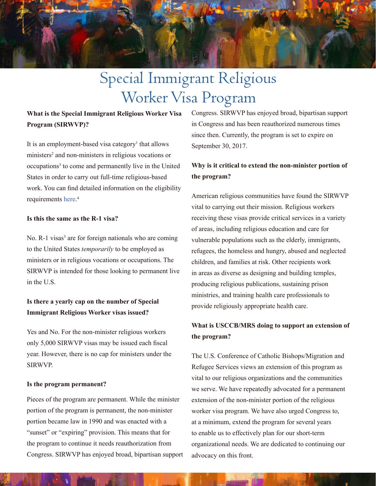

# Special Immigrant Religious Worker Visa Program

## **What is the Special Immigrant Religious Worker Visa Program (SIRWVP)?**

It is an employment-based visa category<sup>1</sup> that allows ministers<sup>2</sup> and non-ministers in religious vocations or occupations<sup>3</sup> to come and permanently live in the United States in order to carry out full-time religious-based work. You can find detailed information on the eligibility requirements [here.](https://www.uscis.gov/working-united-states/permanent-workers/employment-based-immigration-fourth-preference-eb-4/special-immigrant-religious-workers) 4

#### **Is this the same as the R-1 visa?**

No. R-1 visas<sup>5</sup> are for foreign nationals who are coming to the United States *temporarily* to be employed as ministers or in religious vocations or occupations. The SIRWVP is intended for those looking to permanent live in the U.S.

## **Is there a yearly cap on the number of Special Immigrant Religious Worker visas issued?**

Yes and No. For the non-minister religious workers only 5,000 SIRWVP visas may be issued each fiscal year. However, there is no cap for ministers under the SIRWVP.

#### **Is the program permanent?**

Pieces of the program are permanent. While the minister portion of the program is permanent, the non-minister portion became law in 1990 and was enacted with a "sunset" or "expiring" provision. This means that for the program to continue it needs reauthorization from Congress. SIRWVP has enjoyed broad, bipartisan support Congress. SIRWVP has enjoyed broad, bipartisan support in Congress and has been reauthorized numerous times since then. Currently, the program is set to expire on September 30, 2017.

### **Why is it critical to extend the non-minister portion of the program?**

American religious communities have found the SIRWVP vital to carrying out their mission. Religious workers receiving these visas provide critical services in a variety of areas, including religious education and care for vulnerable populations such as the elderly, immigrants, refugees, the homeless and hungry, abused and neglected children, and families at risk. Other recipients work in areas as diverse as designing and building temples, producing religious publications, sustaining prison ministries, and training health care professionals to provide religiously appropriate health care.

## **What is USCCB/MRS doing to support an extension of the program?**

The U.S. Conference of Catholic Bishops/Migration and Refugee Services views an extension of this program as vital to our religious organizations and the communities we serve. We have repeatedly advocated for a permanent extension of the non-minister portion of the religious worker visa program. We have also urged Congress to, at a minimum, extend the program for several years to enable us to effectively plan for our short-term organizational needs. We are dedicated to continuing our advocacy on this front.